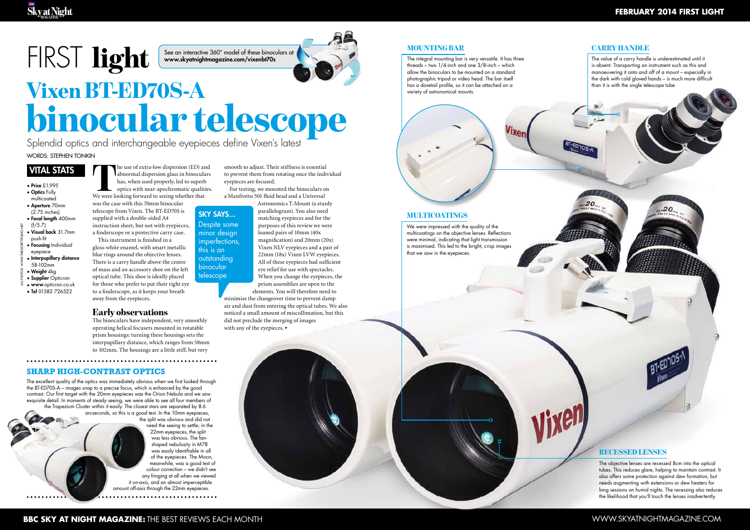# FIRST light

- Price £1,995 • Optics Fully
- multicoated • Aperture 70mm
- (2.75 inches) • Focal length 400mm
- (f/5.7) • Visual back 31.7mm
- push-fit **• Focusing Individual** all photos: www.thesecretstudio.net
- eyepiece
- Interpupillary distance 58-102mm
- Weight 4kg
- Supplier Opticron
- www.opticron.co.uk
- Tel 01582 726522

#### **february 2014 first light**

**VITAL STATS** THE USE OF EXERCISE THE USE OF EXERCISE THE USE OF EXERCISE THE USE OF THE USE OF THE USE OF THE USE OF THE USE OF THE USE OF THE USE OF THE USE OF THE USE OF THE USE OF THE USE OF THE USE OF THE USE OF THE U abnormal dispersion glass in binoculars has, when used properly, led to superb optics with near-apochromatic qualities. We were looking forward to seeing whether that

was the case with this 70mm binocular telescope from Vixen. The BT-ED70S is supplied with a double-sided A4 instruction sheet, but not with eyepieces, a finderscope or a protective carry case. This instrument is finished in a gloss-white enamel, with smart metallic blue rings around the objective lenses. There is a carry handle above the centre of mass and an accessory shoe on the left optical tube. This shoe is ideally placed for those who prefer to put their right eye to a finderscope, as it keeps your breath

> the split was obvious and did not need the seeing to settle; in the 22mm eyepieces, the split was less obvious. The fanshaped nebulosity in M78 was easily identifiable in all of the eyepieces. The Moon, meanwhile, was a good test of colour correction – we didn't see any fringing at all when we viewed it on-axis, and an almost imperceptible amount off-axis through the 22mm eyepieces. . . . . . . . . . . . . . . . . . . .

### away from the eyepieces.

Early observations The binoculars have independent, very smoothly operating helical focusers mounted in rotatable prism housings: turning these housings sets the interpupillary distance, which ranges from 58mm to 102mm. The housings are a little stiff, but very

#### **Sharp high-contrast optics**

The excellent quality of the optics was immediately obvious when we first looked through the BT-ED70S-A – images snap to a precise focus, which is enhanced by the good contrast. Our first target with the 20mm eyepieces was the Orion Nebula and we saw exquisite detail. In moments of steady seeing, we were able to see all four members of the Trapezium Cluster within it easily. The closest stars are separated by 8.6 arcseconds, so this is a good test. In the 10mm eyepieces,

Words: Stephen Tonkin Splendid optics and interchangeable eyepieces define Vixen's latest

smooth to adjust. Their stiffness is essential to prevent them from rotating once the individual eyepieces are focused.

For testing, we mounted the binoculars on a Manfrotto 501 fluid head and a Universal

> Astronomics T-Mount (a sturdy parallelogram). You also need matching eyepieces and for the purposes of this review we were loaned pairs of 10mm (40x magnification) and 20mm (20x) Vixen NLV eyepieces and a pair of 22mm (18x) Vixen LVW eyepieces. All of these eyepieces had sufficient eye relief for use with spectacles. When you change the eyepieces, the prism assemblies are open to the

elements. You will therefore need to minimise the changeover time to prevent damp air and dust from entering the optical tubes. We also noticed a small amount of miscollimation, but this

did not preclude the merging of images

with any of the eyepieces. >

**MOUNTING BAR** 

## binocular telescope Vixen BT-ED70S-A

#### Recessed lenses

**Vixen** 

The objective lenses are recessed 8cm into the optical tubes. This reduces glare, helping to maintain contrast. It also offers some protection against dew formation, but needs augmenting with extensions or dew heaters for long sessions on humid nights. The recessing also reduces the likelihood that you'll touch the lenses inadvertently.

#### Carry handle

The value of a carry handle is underestimated until it is absent. Transporting an instrument such as this and manoeuvering it onto and off of a mount – especially in the dark with cold gloved hands – is much more difficult than it is with the single telescope tube.

Sky says… Despite some minor design imperfections, this is an outstanding binocular telescope

The integral mounting bar is very versatile. It has three threads – two 1/4-inch and one 3/8-inch – which allow the binoculars to be mounted on a standard photographic tripod or video head. The bar itself has a dovetail profile, so it can be attached on a variety of astronomical mounts.



### Multicoatings

We were impressed with the quality of the multicoatings on the objective lenses. Reflections were minimal, indicating that light transmission is maximised. This led to the bright, crisp images that we saw in the eyepieces.

See an interactive 360° model of these binoculars at www.skyatnightmagazine.com/vixenbt70s